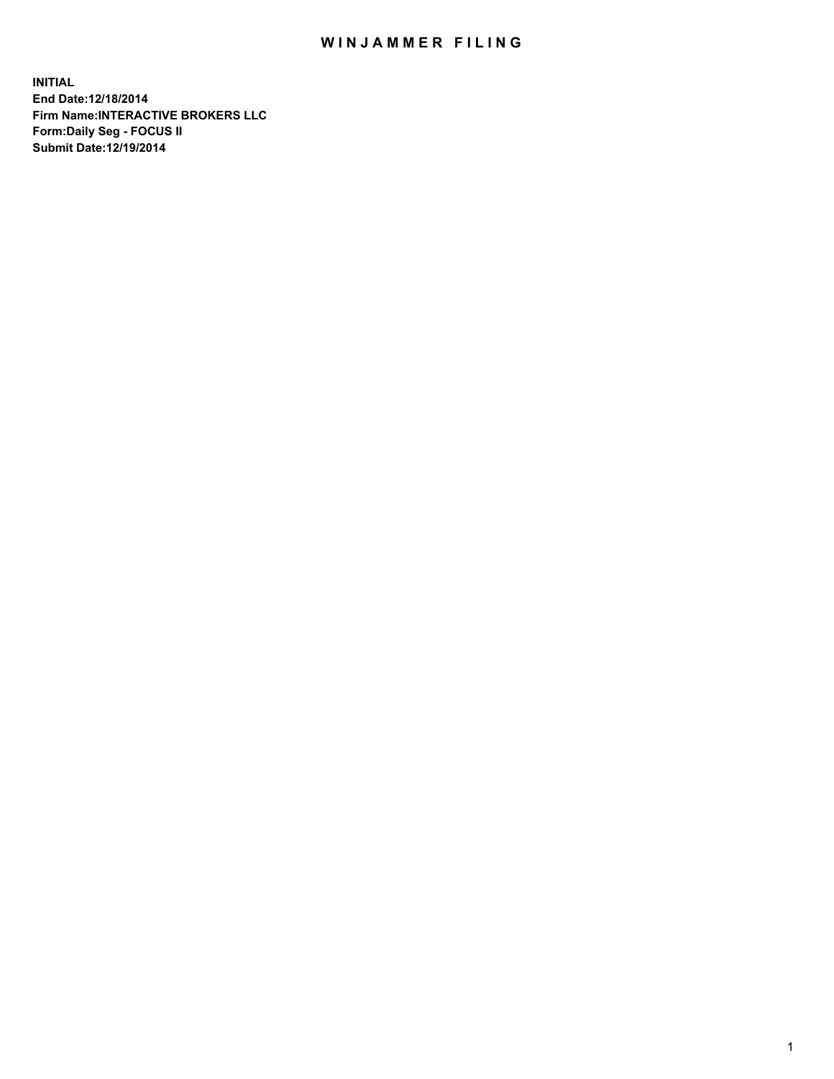## WIN JAMMER FILING

**INITIAL End Date:12/18/2014 Firm Name:INTERACTIVE BROKERS LLC Form:Daily Seg - FOCUS II Submit Date:12/19/2014**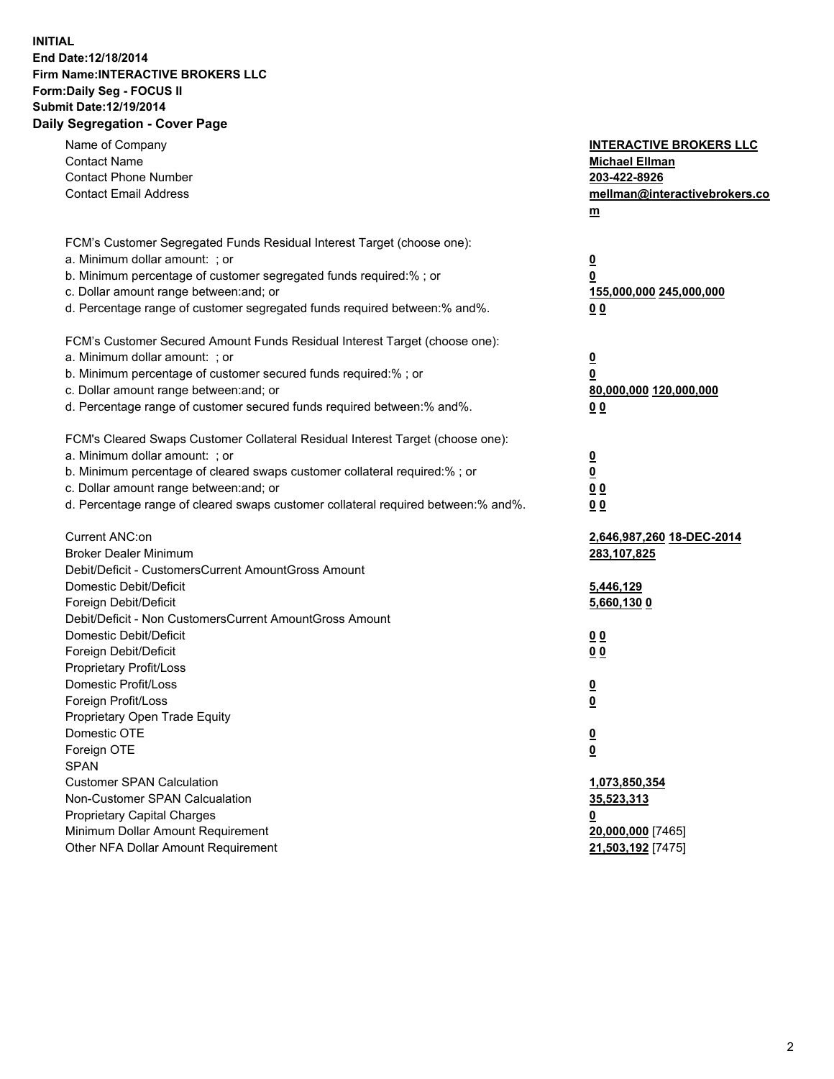## **INITIAL End Date:12/18/2014 Firm Name:INTERACTIVE BROKERS LLC Form:Daily Seg - FOCUS II Submit Date:12/19/2014 Daily Segregation - Cover Page**

| Name of Company<br><b>Contact Name</b><br><b>Contact Phone Number</b><br><b>Contact Email Address</b>                                                                                                                                                                                                                          | <b>INTERACTIVE BROKERS LLC</b><br><b>Michael Ellman</b><br>203-422-8926<br>mellman@interactivebrokers.co<br>m |
|--------------------------------------------------------------------------------------------------------------------------------------------------------------------------------------------------------------------------------------------------------------------------------------------------------------------------------|---------------------------------------------------------------------------------------------------------------|
| FCM's Customer Segregated Funds Residual Interest Target (choose one):<br>a. Minimum dollar amount: ; or<br>b. Minimum percentage of customer segregated funds required:% ; or<br>c. Dollar amount range between: and; or<br>d. Percentage range of customer segregated funds required between:% and%.                         | $\overline{\mathbf{0}}$<br>0<br>155,000,000 245,000,000<br>00                                                 |
| FCM's Customer Secured Amount Funds Residual Interest Target (choose one):<br>a. Minimum dollar amount: ; or<br>b. Minimum percentage of customer secured funds required:% ; or<br>c. Dollar amount range between: and; or<br>d. Percentage range of customer secured funds required between:% and%.                           | $\overline{\mathbf{0}}$<br>0<br>80,000,000 120,000,000<br>0 <sub>0</sub>                                      |
| FCM's Cleared Swaps Customer Collateral Residual Interest Target (choose one):<br>a. Minimum dollar amount: ; or<br>b. Minimum percentage of cleared swaps customer collateral required:% ; or<br>c. Dollar amount range between: and; or<br>d. Percentage range of cleared swaps customer collateral required between:% and%. | $\overline{\mathbf{0}}$<br><u>0</u><br>0 <sub>0</sub><br>0 <sub>0</sub>                                       |
| Current ANC:on<br><b>Broker Dealer Minimum</b><br>Debit/Deficit - CustomersCurrent AmountGross Amount<br>Domestic Debit/Deficit<br>Foreign Debit/Deficit                                                                                                                                                                       | 2,646,987,260 18-DEC-2014<br>283,107,825<br>5,446,129<br>5,660,130 0                                          |
| Debit/Deficit - Non CustomersCurrent AmountGross Amount<br>Domestic Debit/Deficit<br>Foreign Debit/Deficit<br>Proprietary Profit/Loss<br>Domestic Profit/Loss<br>Foreign Profit/Loss                                                                                                                                           | 0 <sub>0</sub><br>0 <sub>0</sub><br>$\overline{\mathbf{0}}$<br>$\overline{\mathbf{0}}$                        |
| Proprietary Open Trade Equity<br>Domestic OTE<br>Foreign OTE<br><b>SPAN</b><br><b>Customer SPAN Calculation</b><br>Non-Customer SPAN Calcualation                                                                                                                                                                              | $\overline{\mathbf{0}}$<br><u>0</u><br>1,073,850,354<br>35,523,313                                            |
| <b>Proprietary Capital Charges</b><br>Minimum Dollar Amount Requirement<br>Other NFA Dollar Amount Requirement                                                                                                                                                                                                                 | <u>0</u><br>20,000,000 [7465]<br>21,503,192 [7475]                                                            |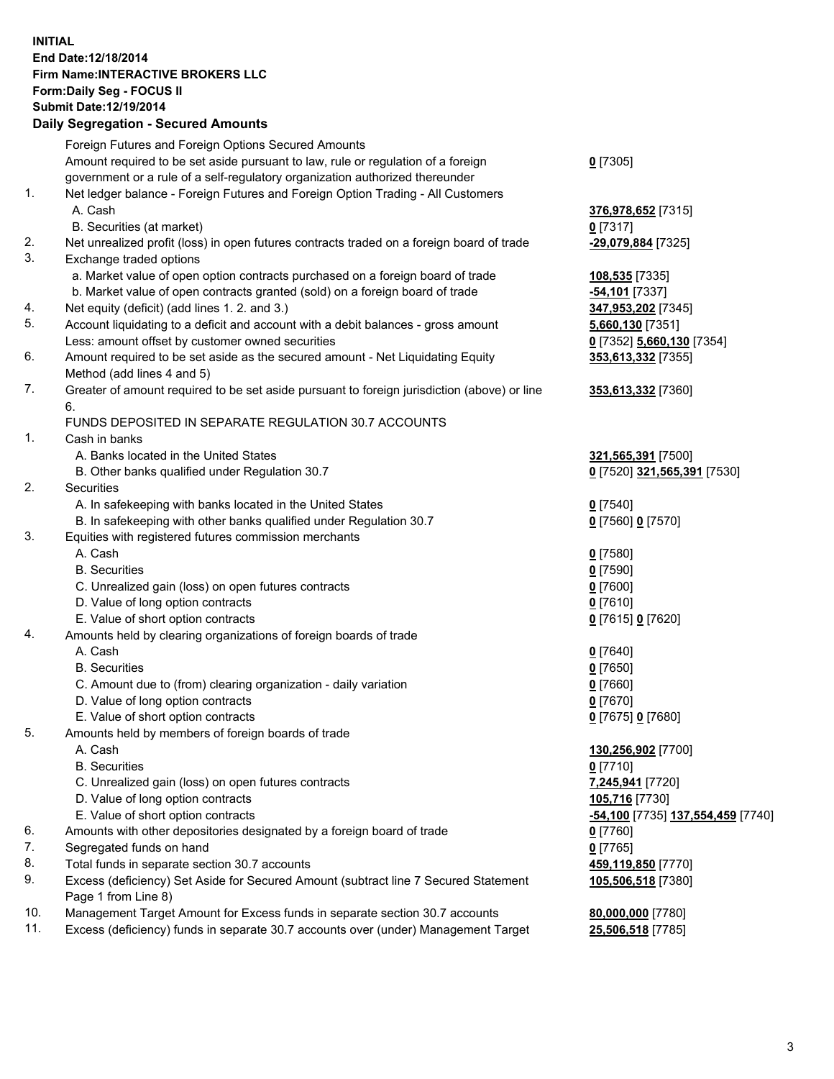## **INITIAL End Date:12/18/2014 Firm Name:INTERACTIVE BROKERS LLC Form:Daily Seg - FOCUS II Submit Date:12/19/2014 Daily Segregation - Secured Amounts**

|     | Dany Ocgregation - Oceanea Annoanta                                                                        |                                   |
|-----|------------------------------------------------------------------------------------------------------------|-----------------------------------|
|     | Foreign Futures and Foreign Options Secured Amounts                                                        |                                   |
|     | Amount required to be set aside pursuant to law, rule or regulation of a foreign                           | $0$ [7305]                        |
|     | government or a rule of a self-regulatory organization authorized thereunder                               |                                   |
| 1.  | Net ledger balance - Foreign Futures and Foreign Option Trading - All Customers                            |                                   |
|     | A. Cash                                                                                                    | 376,978,652 [7315]                |
|     | B. Securities (at market)                                                                                  | $0$ [7317]                        |
| 2.  | Net unrealized profit (loss) in open futures contracts traded on a foreign board of trade                  | -29,079,884 [7325]                |
| 3.  | Exchange traded options                                                                                    |                                   |
|     | a. Market value of open option contracts purchased on a foreign board of trade                             | 108,535 [7335]                    |
|     | b. Market value of open contracts granted (sold) on a foreign board of trade                               | -54,101 [7337]                    |
| 4.  | Net equity (deficit) (add lines 1.2. and 3.)                                                               | 347,953,202 [7345]                |
| 5.  | Account liquidating to a deficit and account with a debit balances - gross amount                          | 5,660,130 [7351]                  |
|     | Less: amount offset by customer owned securities                                                           | 0 [7352] 5,660,130 [7354]         |
| 6.  | Amount required to be set aside as the secured amount - Net Liquidating Equity                             | 353,613,332 [7355]                |
|     | Method (add lines 4 and 5)                                                                                 |                                   |
| 7.  | Greater of amount required to be set aside pursuant to foreign jurisdiction (above) or line                | 353,613,332 [7360]                |
|     | 6.                                                                                                         |                                   |
|     | FUNDS DEPOSITED IN SEPARATE REGULATION 30.7 ACCOUNTS                                                       |                                   |
| 1.  | Cash in banks                                                                                              |                                   |
|     | A. Banks located in the United States                                                                      | 321,565,391 [7500]                |
|     | B. Other banks qualified under Regulation 30.7                                                             | 0 [7520] 321,565,391 [7530]       |
| 2.  | Securities                                                                                                 |                                   |
|     | A. In safekeeping with banks located in the United States                                                  | $0$ [7540]                        |
|     | B. In safekeeping with other banks qualified under Regulation 30.7                                         | 0 [7560] 0 [7570]                 |
| 3.  | Equities with registered futures commission merchants                                                      |                                   |
|     | A. Cash                                                                                                    | $0$ [7580]                        |
|     | <b>B.</b> Securities                                                                                       | $0$ [7590]                        |
|     | C. Unrealized gain (loss) on open futures contracts                                                        | $0$ [7600]                        |
|     | D. Value of long option contracts                                                                          | $0$ [7610]                        |
|     | E. Value of short option contracts                                                                         | 0 [7615] 0 [7620]                 |
| 4.  | Amounts held by clearing organizations of foreign boards of trade                                          |                                   |
|     | A. Cash                                                                                                    | $0$ [7640]                        |
|     | <b>B.</b> Securities                                                                                       | $0$ [7650]                        |
|     | C. Amount due to (from) clearing organization - daily variation                                            | $0$ [7660]                        |
|     | D. Value of long option contracts                                                                          | $0$ [7670]                        |
|     | E. Value of short option contracts                                                                         | 0 [7675] 0 [7680]                 |
| 5.  | Amounts held by members of foreign boards of trade                                                         |                                   |
|     | A. Cash                                                                                                    | 130,256,902 [7700]                |
|     | <b>B.</b> Securities                                                                                       | $0$ [7710]                        |
|     | C. Unrealized gain (loss) on open futures contracts                                                        | 7,245,941 [7720]                  |
|     | D. Value of long option contracts                                                                          | 105,716 [7730]                    |
|     | E. Value of short option contracts                                                                         | -54,100 [7735] 137,554,459 [7740] |
| 6.  | Amounts with other depositories designated by a foreign board of trade                                     | 0 [7760]                          |
| 7.  | Segregated funds on hand                                                                                   | $0$ [7765]                        |
| 8.  | Total funds in separate section 30.7 accounts                                                              | 459,119,850 [7770]                |
| 9.  | Excess (deficiency) Set Aside for Secured Amount (subtract line 7 Secured Statement<br>Page 1 from Line 8) | 105,506,518 [7380]                |
| 10. | Management Target Amount for Excess funds in separate section 30.7 accounts                                | 80,000,000 [7780]                 |
| 11. | Excess (deficiency) funds in separate 30.7 accounts over (under) Management Target                         | 25,506,518 [7785]                 |
|     |                                                                                                            |                                   |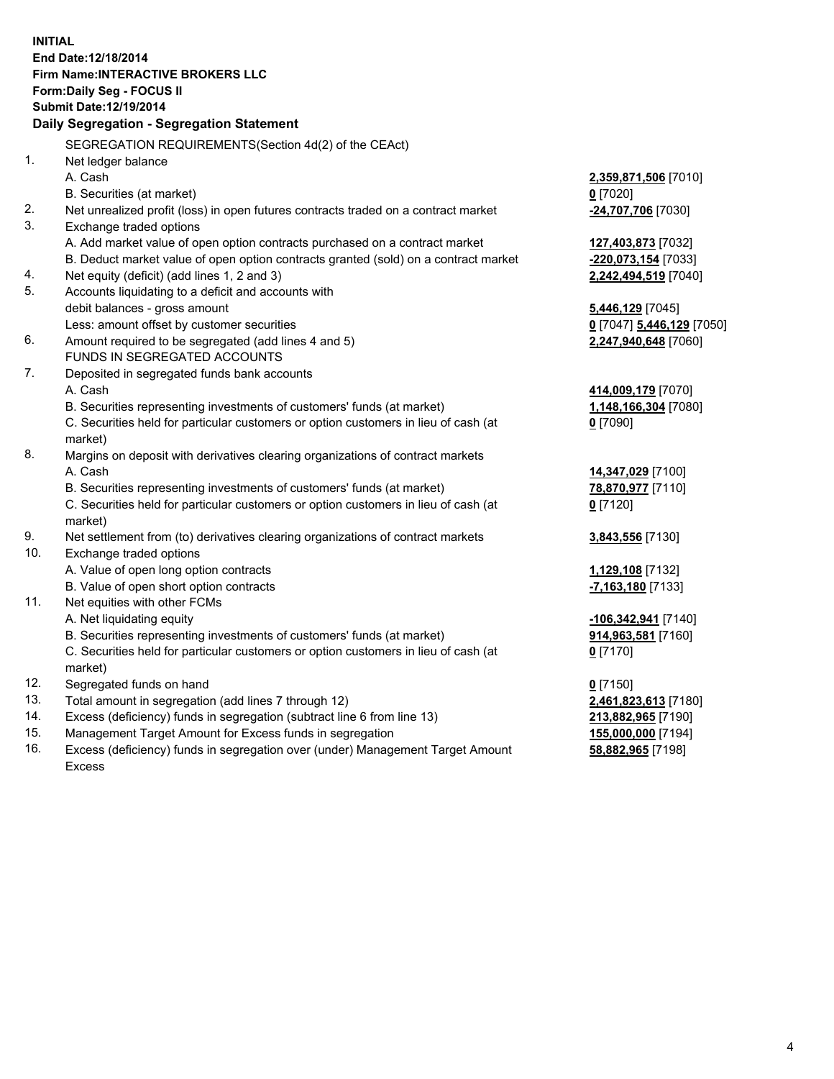**INITIAL End Date:12/18/2014 Firm Name:INTERACTIVE BROKERS LLC Form:Daily Seg - FOCUS II Submit Date:12/19/2014 Daily Segregation - Segregation Statement** SEGREGATION REQUIREMENTS(Section 4d(2) of the CEAct) 1. Net ledger balance A. Cash **2,359,871,506** [7010] B. Securities (at market) **0** [7020] 2. Net unrealized profit (loss) in open futures contracts traded on a contract market **-24,707,706** [7030] 3. Exchange traded options A. Add market value of open option contracts purchased on a contract market **127,403,873** [7032] B. Deduct market value of open option contracts granted (sold) on a contract market **-220,073,154** [7033] 4. Net equity (deficit) (add lines 1, 2 and 3) **2,242,494,519** [7040] 5. Accounts liquidating to a deficit and accounts with debit balances - gross amount **5,446,129** [7045] Less: amount offset by customer securities **0** [7047] **5,446,129** [7050] 6. Amount required to be segregated (add lines 4 and 5) **2,247,940,648** [7060] FUNDS IN SEGREGATED ACCOUNTS 7. Deposited in segregated funds bank accounts A. Cash **414,009,179** [7070] B. Securities representing investments of customers' funds (at market) **1,148,166,304** [7080] C. Securities held for particular customers or option customers in lieu of cash (at market) **0** [7090] 8. Margins on deposit with derivatives clearing organizations of contract markets A. Cash **14,347,029** [7100] B. Securities representing investments of customers' funds (at market) **78,870,977** [7110] C. Securities held for particular customers or option customers in lieu of cash (at market) **0** [7120] 9. Net settlement from (to) derivatives clearing organizations of contract markets **3,843,556** [7130] 10. Exchange traded options A. Value of open long option contracts **1,129,108** [7132] B. Value of open short option contracts **-7,163,180** [7133] 11. Net equities with other FCMs A. Net liquidating equity **-106,342,941** [7140] B. Securities representing investments of customers' funds (at market) **914,963,581** [7160] C. Securities held for particular customers or option customers in lieu of cash (at market) **0** [7170] 12. Segregated funds on hand **0** [7150] 13. Total amount in segregation (add lines 7 through 12) **2,461,823,613** [7180] 14. Excess (deficiency) funds in segregation (subtract line 6 from line 13) **213,882,965** [7190] 15. Management Target Amount for Excess funds in segregation **155,000,000** [7194]

16. Excess (deficiency) funds in segregation over (under) Management Target Amount Excess

**58,882,965** [7198]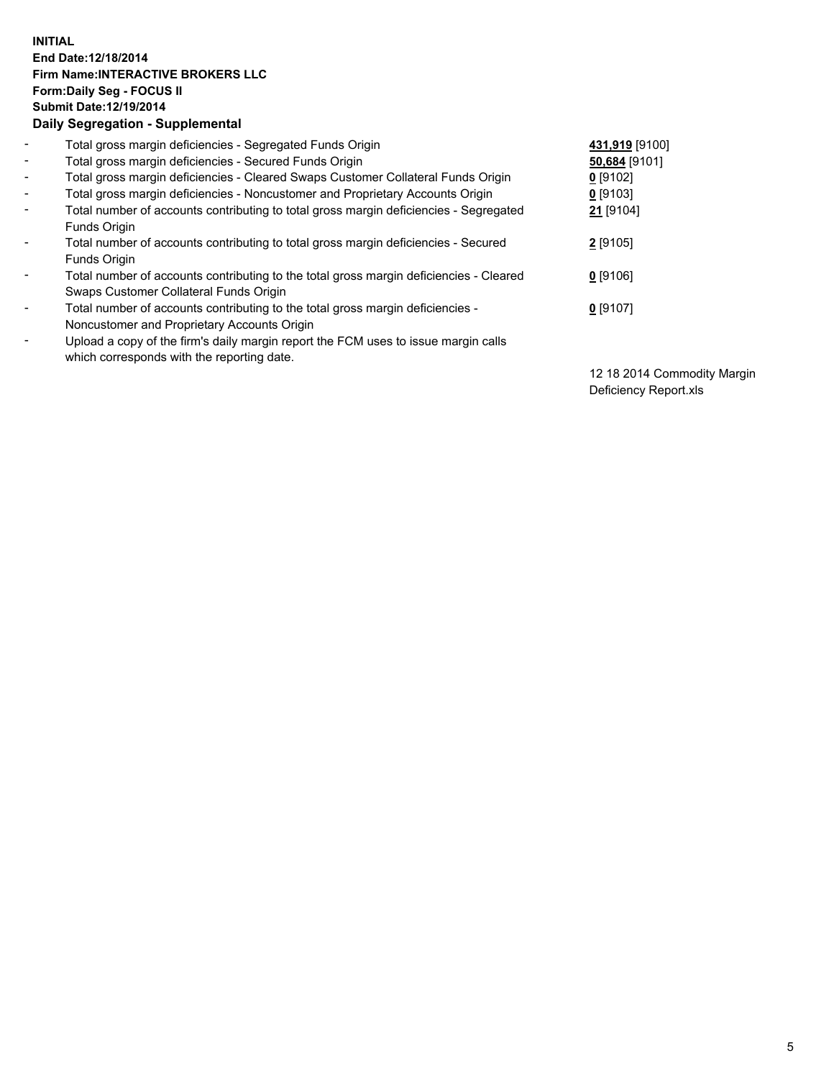## **INITIAL End Date:12/18/2014 Firm Name:INTERACTIVE BROKERS LLC Form:Daily Seg - FOCUS II Submit Date:12/19/2014 Daily Segregation - Supplemental**

| $\blacksquare$ | Total gross margin deficiencies - Segregated Funds Origin                              | 431,919 [9100] |
|----------------|----------------------------------------------------------------------------------------|----------------|
| $\blacksquare$ | Total gross margin deficiencies - Secured Funds Origin                                 | 50,684 [9101]  |
| $\blacksquare$ | Total gross margin deficiencies - Cleared Swaps Customer Collateral Funds Origin       | $0$ [9102]     |
| $\sim$         | Total gross margin deficiencies - Noncustomer and Proprietary Accounts Origin          | $0$ [9103]     |
| $\blacksquare$ | Total number of accounts contributing to total gross margin deficiencies - Segregated  | 21 [9104]      |
|                | <b>Funds Origin</b>                                                                    |                |
| $\blacksquare$ | Total number of accounts contributing to total gross margin deficiencies - Secured     | 2 [9105]       |
|                | Funds Origin                                                                           |                |
| Ξ.             | Total number of accounts contributing to the total gross margin deficiencies - Cleared | $0$ [9106]     |
|                | Swaps Customer Collateral Funds Origin                                                 |                |
| -              | Total number of accounts contributing to the total gross margin deficiencies -         | $0$ [9107]     |
|                | Noncustomer and Proprietary Accounts Origin                                            |                |
| -              | Upload a copy of the firm's daily margin report the FCM uses to issue margin calls     |                |
|                | which corresponds with the reporting date.                                             |                |

12 18 2014 Commodity Margin Deficiency Report.xls